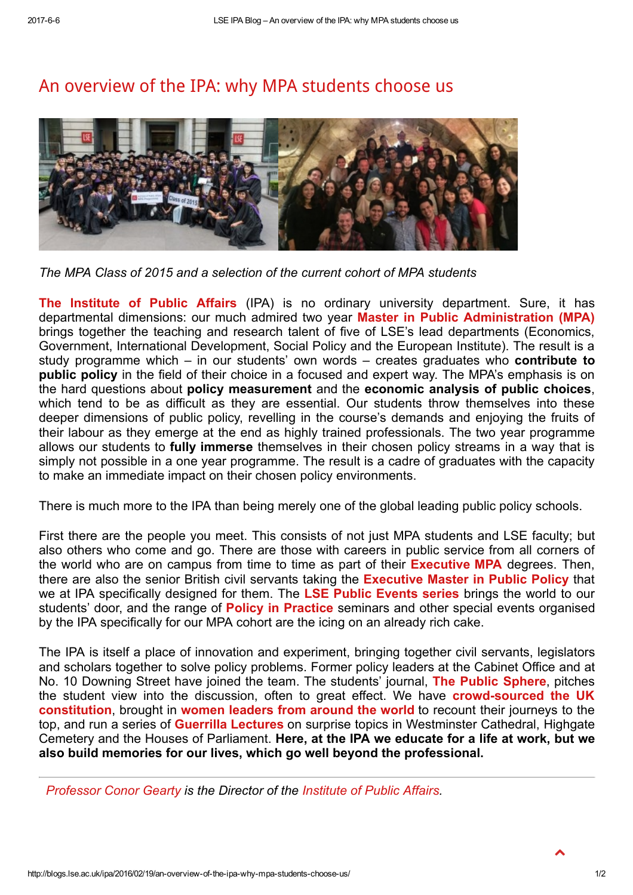## An [overview](http://blogs.lse.ac.uk/ipa/2016/02/19/an-overview-of-the-ipa-why-mpa-students-choose-us/) of the IPA: why MPA students choose us



The MPA Class of 2015 and a selection of the current cohort of MPA students

The [Institute](http://www.lse.ac.uk/IPA/Home.aspx) of Public Affairs (IPA) is no ordinary university department. Sure, it has departmental dimensions: our much admired two year Master in Public [Administration](http://www.lse.ac.uk/IPA/MPA/TheMPA.aspx) (MPA) brings together the teaching and research talent of five of LSE's lead departments (Economics, Government, International Development, Social Policy and the European Institute). The result is a study programme which  $-$  in our students' own words  $-$  creates graduates who **contribute to** public policy in the field of their choice in a focused and expert way. The MPA's emphasis is on the hard questions about policy measurement and the economic analysis of public choices, which tend to be as difficult as they are essential. Our students throw themselves into these deeper dimensions of public policy, revelling in the course's demands and enjoying the fruits of their labour as they emerge at the end as highly trained professionals. The two year programme allows our students to fully immerse themselves in their chosen policy streams in a way that is simply not possible in a one year programme. The result is a cadre of graduates with the capacity to make an immediate impact on their chosen policy environments.

There is much more to the IPA than being merely one of the global leading public policy schools.

First there are the people you meet. This consists of not just MPA students and LSE faculty; but also others who come and go. There are those with careers in public service from all corners of the world who are on campus from time to time as part of their **[Executive](http://www.lse.ac.uk/IPA/EMPA/TheEMPA.aspx) MPA** degrees. Then, there are also the senior British civil servants taking the [Executive](http://www.lse.ac.uk/IPA/EMPP/TheEMPP.aspx) Master in Public Policy that we at IPA specifically designed for them. The LSE Public [Events](http://www.lse.ac.uk/publicEvents/eventsHome.aspx) series brings the world to our students' door, and the range of **Policy in [Practice](http://bit.ly/1SQvLcl)** seminars and other special events organised by the IPA specifically for our MPA cohort are the icing on an already rich cake.

The IPA is itself a place of innovation and experiment, bringing together civil servants, legislators and scholars together to solve policy problems. Former policy leaders at the Cabinet Office and at No. 10 Downing Street have joined the team. The students' journal, The Public [Sphere,](http://publicspherejournal.com/latest-issue/) pitches the student view into the discussion, often to great effect. We have **crowd-sourced the UK** constitution, brought in women [leaders](http://www.lse.ac.uk/IPA/ResearchAndEngagement/AboveTheParapet/AboutAtP.aspx) from around the world to recount their journeys to the top, and run a series of **Guerrilla [Lectures](http://blogs.lse.ac.uk/ipa/2016/02/17/guerrilla-lectures/)** on surprise topics in Westminster Cathedral, Highgate Cemetery and the Houses of Parliament. Here, at the IPA we educate for a life at work, but we also build memories for our lives, which go well beyond the professional.

[Professor](http://www.lse.ac.uk/IPA/people/Staff/Directorate/GeartyConor.aspx) Conor Gearty is the Director of the [Institute](http://www.lse.ac.uk/IPA/Home.aspx) of Public Affairs.

 $\blacktriangle$